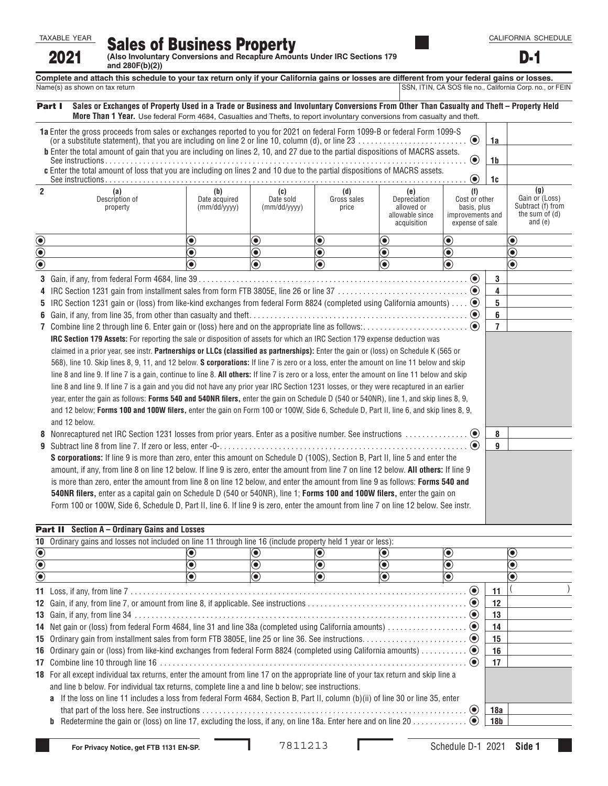CALIFORNIA SCHEDULE D-1

**FRICAL SALES OF BUSINESS Property**<br>2021 (Also Involuntary Conversions and Recapture Amounts Under IRC Sections 179 **and 280F(b)(2))** 

**Complete and attach this schedule to your tax return only if your California gains or losses are different from your federal gains or losses.<br>Name(s) as shown on tax return <b>and the state of the state of the state of the** SSN, ITIN, CA SOS file no., California Corp. no., or FEIN

|                                                                                                                                                         | Sales or Exchanges of Property Used in a Trade or Business and Involuntary Conversions From Other Than Casualty and Theft – Property Held<br>Part I<br>More Than 1 Year. Use federal Form 4684, Casualties and Thefts, to report involuntary conversions from casualty and theft. |                               |                             |                             |                                                              |                                                                     |    |                                                                    |  |  |  |
|---------------------------------------------------------------------------------------------------------------------------------------------------------|-----------------------------------------------------------------------------------------------------------------------------------------------------------------------------------------------------------------------------------------------------------------------------------|-------------------------------|-----------------------------|-----------------------------|--------------------------------------------------------------|---------------------------------------------------------------------|----|--------------------------------------------------------------------|--|--|--|
| 1a Enter the gross proceeds from sales or exchanges reported to you for 2021 on federal Form 1099-B or federal Form 1099-S<br>$\odot$<br>1a             |                                                                                                                                                                                                                                                                                   |                               |                             |                             |                                                              |                                                                     |    |                                                                    |  |  |  |
| <b>b</b> Enter the total amount of gain that you are including on lines 2, 10, and 27 due to the partial dispositions of MACRS assets.<br>$\odot$<br>1b |                                                                                                                                                                                                                                                                                   |                               |                             |                             |                                                              |                                                                     |    |                                                                    |  |  |  |
| c Enter the total amount of loss that you are including on lines 2 and 10 due to the partial dispositions of MACRS assets.                              |                                                                                                                                                                                                                                                                                   |                               |                             |                             |                                                              |                                                                     |    |                                                                    |  |  |  |
| $\overline{2}$                                                                                                                                          | (a)                                                                                                                                                                                                                                                                               | (b)                           | (c)                         | (d)                         | (e)                                                          | $\left( \bullet \right)$<br>(f)                                     | 1c | (g)                                                                |  |  |  |
|                                                                                                                                                         | Description of<br>property                                                                                                                                                                                                                                                        | Date acquired<br>(mm/dd/yyyy) | Date sold<br>(mm/dd/yyyy)   | Gross sales<br>price        | Depreciation<br>allowed or<br>allowable since<br>acquisition | Cost or other<br>basis, plus<br>improvements and<br>expense of sale |    | Gain or (Loss)<br>Subtract (f) from<br>the sum of (d)<br>and $(e)$ |  |  |  |
| $\bigcirc$                                                                                                                                              |                                                                                                                                                                                                                                                                                   | $\textcolor{blue}{\bullet}$   | $\textcolor{blue}{\bullet}$ | $\textcolor{blue}{\bullet}$ | $\textcolor{blue}{\bullet}$                                  | $\textcolor{blue}{\bullet}$                                         |    | $\textcolor{blue}{\bullet}$                                        |  |  |  |
| $\bigcirc$                                                                                                                                              |                                                                                                                                                                                                                                                                                   | $\bf \widehat{\bullet}$       | $\textcolor{blue}{\bullet}$ | $\textcolor{blue}{\bullet}$ | $\textcolor{blue}{\bullet}$                                  | $\textcolor{blue}{\bullet}$                                         |    | $\textcolor{blue}{\bullet}$                                        |  |  |  |
| $\overline{\mathbf{\odot}}$                                                                                                                             |                                                                                                                                                                                                                                                                                   | $\widehat{\bullet}$           | $\textcolor{blue}{\bullet}$ | $\textcolor{blue}{\bullet}$ | $\textcolor{blue}{\bullet}$                                  | $\bf \widehat{\bullet}$                                             |    | $\textcolor{blue}{\bullet}$                                        |  |  |  |
|                                                                                                                                                         |                                                                                                                                                                                                                                                                                   |                               |                             |                             |                                                              | $\odot$                                                             | 3  |                                                                    |  |  |  |
|                                                                                                                                                         |                                                                                                                                                                                                                                                                                   |                               |                             |                             |                                                              |                                                                     | 4  |                                                                    |  |  |  |
|                                                                                                                                                         | 5<br>6                                                                                                                                                                                                                                                                            |                               |                             |                             |                                                              |                                                                     |    |                                                                    |  |  |  |
|                                                                                                                                                         |                                                                                                                                                                                                                                                                                   |                               |                             |                             |                                                              |                                                                     |    |                                                                    |  |  |  |
|                                                                                                                                                         | $\bullet$<br>$\overline{7}$                                                                                                                                                                                                                                                       |                               |                             |                             |                                                              |                                                                     |    |                                                                    |  |  |  |
|                                                                                                                                                         | IRC Section 179 Assets: For reporting the sale or disposition of assets for which an IRC Section 179 expense deduction was                                                                                                                                                        |                               |                             |                             |                                                              |                                                                     |    |                                                                    |  |  |  |
|                                                                                                                                                         | claimed in a prior year, see instr. Partnerships or LLCs (classified as partnerships): Enter the gain or (loss) on Schedule K (565 or                                                                                                                                             |                               |                             |                             |                                                              |                                                                     |    |                                                                    |  |  |  |
|                                                                                                                                                         | 568), line 10. Skip lines 8, 9, 11, and 12 below. S corporations: If line 7 is zero or a loss, enter the amount on line 11 below and skip                                                                                                                                         |                               |                             |                             |                                                              |                                                                     |    |                                                                    |  |  |  |
|                                                                                                                                                         | line 8 and line 9. If line 7 is a gain, continue to line 8. All others: If line 7 is zero or a loss, enter the amount on line 11 below and skip                                                                                                                                   |                               |                             |                             |                                                              |                                                                     |    |                                                                    |  |  |  |
|                                                                                                                                                         | line 8 and line 9. If line 7 is a gain and you did not have any prior year IRC Section 1231 losses, or they were recaptured in an earlier                                                                                                                                         |                               |                             |                             |                                                              |                                                                     |    |                                                                    |  |  |  |
|                                                                                                                                                         | year, enter the gain as follows: Forms 540 and 540NR filers, enter the gain on Schedule D (540 or 540NR), line 1, and skip lines 8, 9,                                                                                                                                            |                               |                             |                             |                                                              |                                                                     |    |                                                                    |  |  |  |
|                                                                                                                                                         | and 12 below; Forms 100 and 100W filers, enter the gain on Form 100 or 100W, Side 6, Schedule D, Part II, line 6, and skip lines 8, 9,                                                                                                                                            |                               |                             |                             |                                                              |                                                                     |    |                                                                    |  |  |  |
|                                                                                                                                                         | and 12 below.                                                                                                                                                                                                                                                                     |                               |                             |                             |                                                              |                                                                     |    |                                                                    |  |  |  |
| 8                                                                                                                                                       |                                                                                                                                                                                                                                                                                   |                               |                             |                             |                                                              |                                                                     | 8  |                                                                    |  |  |  |
| 9                                                                                                                                                       |                                                                                                                                                                                                                                                                                   |                               |                             |                             |                                                              |                                                                     | 9  |                                                                    |  |  |  |
|                                                                                                                                                         | S corporations: If line 9 is more than zero, enter this amount on Schedule D (100S), Section B, Part II, line 5 and enter the                                                                                                                                                     |                               |                             |                             |                                                              |                                                                     |    |                                                                    |  |  |  |
|                                                                                                                                                         | amount, if any, from line 8 on line 12 below. If line 9 is zero, enter the amount from line 7 on line 12 below. All others: If line 9                                                                                                                                             |                               |                             |                             |                                                              |                                                                     |    |                                                                    |  |  |  |
|                                                                                                                                                         | is more than zero, enter the amount from line 8 on line 12 below, and enter the amount from line 9 as follows: Forms 540 and                                                                                                                                                      |                               |                             |                             |                                                              |                                                                     |    |                                                                    |  |  |  |
|                                                                                                                                                         | 540NR filers, enter as a capital gain on Schedule D (540 or 540NR), line 1; Forms 100 and 100W filers, enter the gain on                                                                                                                                                          |                               |                             |                             |                                                              |                                                                     |    |                                                                    |  |  |  |
|                                                                                                                                                         | Form 100 or 100W, Side 6, Schedule D, Part II, line 6. If line 9 is zero, enter the amount from line 7 on line 12 below. See instr.                                                                                                                                               |                               |                             |                             |                                                              |                                                                     |    |                                                                    |  |  |  |
|                                                                                                                                                         |                                                                                                                                                                                                                                                                                   |                               |                             |                             |                                                              |                                                                     |    |                                                                    |  |  |  |

## Part II **Section A – Ordinary Gains and Losses**

|            | 10 Ordinary gains and losses not included on line 11 through line 16 (include property held 1 year or less):                                                                                                                                                                                                                                                                       |                          |             |             |            |                          |                 |  |
|------------|------------------------------------------------------------------------------------------------------------------------------------------------------------------------------------------------------------------------------------------------------------------------------------------------------------------------------------------------------------------------------------|--------------------------|-------------|-------------|------------|--------------------------|-----------------|--|
| $\bigcirc$ |                                                                                                                                                                                                                                                                                                                                                                                    | $\left( \bullet \right)$ | $(\bullet)$ |             | O          | $\bf{O}$                 | $\bigcirc$      |  |
| $\bigcirc$ |                                                                                                                                                                                                                                                                                                                                                                                    | $\left( \bullet \right)$ | $\bf{O}$    | $(\bullet)$ | $\bigcirc$ | (●)                      | $\bigcirc$      |  |
| $\bigcirc$ |                                                                                                                                                                                                                                                                                                                                                                                    | $\bf{O}$                 | $\bigcirc$  | $\bf{O}$    | $\bf{O}$   | $\left( \bullet \right)$ | $\circledcirc$  |  |
|            |                                                                                                                                                                                                                                                                                                                                                                                    |                          |             |             |            | $\left( \bullet \right)$ | 11              |  |
|            |                                                                                                                                                                                                                                                                                                                                                                                    |                          |             |             |            |                          | 12              |  |
|            | $\left( \bullet \right)$                                                                                                                                                                                                                                                                                                                                                           |                          |             |             |            |                          |                 |  |
|            |                                                                                                                                                                                                                                                                                                                                                                                    |                          |             |             |            |                          |                 |  |
|            |                                                                                                                                                                                                                                                                                                                                                                                    |                          |             |             |            |                          |                 |  |
|            |                                                                                                                                                                                                                                                                                                                                                                                    |                          |             |             |            |                          | 16              |  |
|            | $\left( \bullet \right)$                                                                                                                                                                                                                                                                                                                                                           |                          |             |             |            |                          | 17              |  |
|            | <b>18</b> For all except individual tax returns, enter the amount from line 17 on the appropriate line of your tax return and skip line a<br>and line b below. For individual tax returns, complete line a and line b below; see instructions.<br>a If the loss on line 11 includes a loss from federal Form 4684, Section B, Part II, column (b)(ii) of line 30 or line 35, enter |                          |             |             |            |                          |                 |  |
|            | $\left( \bullet \right)$                                                                                                                                                                                                                                                                                                                                                           |                          |             |             |            |                          |                 |  |
|            | b                                                                                                                                                                                                                                                                                                                                                                                  |                          |             |             |            |                          | 18 <sub>b</sub> |  |